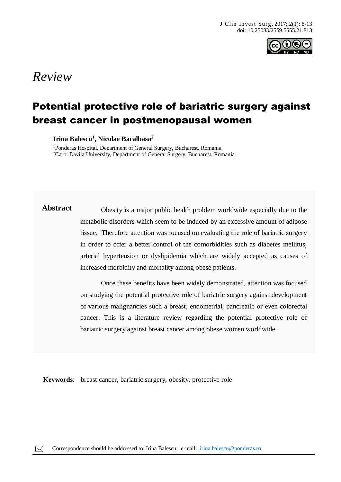

# *Review*

## Potential protective role of bariatric surgery against breast cancer in postmenopausal women

**Irina Balescu<sup>1</sup> , Nicolae Bacalbasa<sup>2</sup>**

<sup>1</sup>Ponderas Hospital, Department of General Surgery, Bucharest, Romania <sup>2</sup>Carol Davila University, Department of General Surgery, Bucharest, Romania

**Abstract** Obesity is a major public health problem worldwide especially due to the metabolic disorders which seem to be induced by an excessive amount of adipose tissue. Therefore attention was focused on evaluating the role of bariatric surgery in order to offer a better control of the comorbidities such as diabetes mellitus, arterial hypertension or dyslipidemia which are widely accepted as causes of increased morbidity and mortality among obese patients.

> Once these benefits have been widely demonstrated, attention was focused on studying the potential protective role of bariatric surgery against development of various malignancies such a breast, endometrial, pancreatic or even colorectal cancer. This is a literature review regarding the potential protective role of bariatric surgery against breast cancer among obese women worldwide.

**Keywords**: breast cancer, bariatric surgery, obesity, protective role

**Case Report**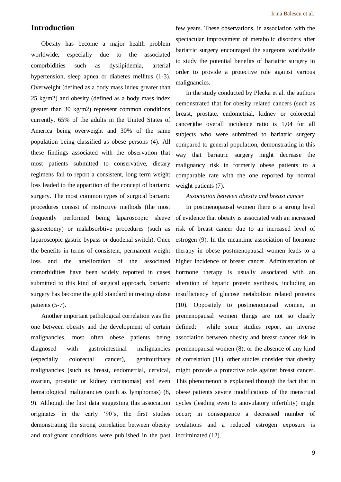## **Introduction**

Obesity has become a major health problem worldwide, especially due to the associated comorbidities such as dyslipidemia, arterial hypertension, sleep apnea or diabetes mellitus (1-3). Overweight (defined as a body mass index greater than 25 kg/m2) and obesity (defined as a body mass index greater than 30 kg/m2) represent common conditions currently, 65% of the adults in the United States of America being overweight and 30% of the same population being classified as obese persons (4). All these findings associated with the observation that most patients submitted to conservative, dietary regimens fail to report a consistent, long term weight loss leaded to the apparition of the concept of bariatric surgery. The most common types of surgical bariatric procedures consist of restrictive methods (the most frequently performed being laparoscopic sleeve gastrectomy) or malabsorbtive procedures (such as laparoscopic gastric bypass or duodenal switch). Once the benefits in terms of consistent, permanent weight loss and the amelioration of the associated comorbidities have been widely reported in cases submitted to this kind of surgical approach, bariatric surgery has become the gold standard in treating obese patients (5-7).

Another important pathological correlation was the one between obesity and the development of certain malignancies, most often obese patients being diagnosed with gastrointestinal malignancies (especially colorectal cancer), genitourinary malignancies (such as breast, endometrial, cervical, ovarian, prostatic or kidney carcinomas) and even hematological malignancies (such as lymphomas) (8, 9). Although the first data suggesting this association originates in the early '90's, the first studies demonstrating the strong correlation between obesity and malignant conditions were published in the past incriminated (12).

few years. These observations, in association with the spectacular improvement of metabolic disorders after bariatric surgery encouraged the surgeons worldwide to study the potential benefits of bariatric surgery in order to provide a protective role against various malignancies.

In the study conducted by Plecka et al. the authors demonstrated that for obesity related cancers (such as breast, prostate, endometrial, kidney or colorectal cancer)the overall incidence ratio is 1,04 for all subjects who were submitted to bariatric surgery compared to general population, demonstrating in this way that bariatric surgery might decrease the malignancy risk in formerly obese patients to a comparable rate with the one reported by normal weight patients (7).

#### *Association between obesity and breast cancer*

In postmenopausal women there is a strong level of evidence that obesity is associated with an increased risk of breast cancer due to an increased level of estrogen (9). In the meantime association of hormone therapy in obese postmenopausal women leads to a higher incidence of breast cancer. Administration of hormone therapy is usually associated with an alteration of hepatic protein synthesis, including an insufficiency of glucose metabolism related proteins (10). Oppositely to postmenopausal women, in premenopausal women things are not so clearly defined: while some studies report an inverse association between obesity and breast cancer risk in premenopausal women (8), or the absence of any kind of correlation (11), other studies consider that obesity might provide a protective role against breast cancer. This phenomenon is explained through the fact that in obese patients severe modifications of the menstrual cycles (leading even to anovulatory infertility) might occur; in consequence a decreased number of ovulations and a reduced estrogen exposure is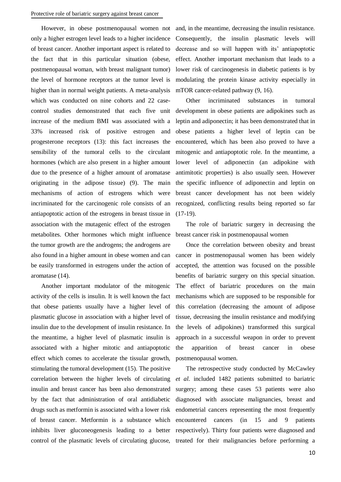However, in obese postmenopausal women not only a higher estrogen level leads to a higher incidence of breast cancer. Another important aspect is related to the fact that in this particular situation (obese, postmenopausal woman, with breast malignant tumor) the level of hormone receptors at the tumor level is higher than in normal weight patients. A meta-analysis which was conducted on nine cohorts and 22 casecontrol studies demonstrated that each five unit increase of the medium BMI was associated with a 33% increased risk of positive estrogen and progesterone receptors (13): this fact increases the sensibility of the tumoral cells to the circulant hormones (which are also present in a higher amount due to the presence of a higher amount of aromatase originating in the adipose tissue) (9). The main mechanisms of action of estrogens which were incriminated for the carcinogenic role consists of an antiapoptotic action of the estrogens in breast tissue in association with the mutagenic effect of the estrogen metabolites. Other hormones which might influence the tumor growth are the androgens; the androgens are also found in a higher amount in obese women and can be easily transformed in estrogens under the action of aromatase (14).

Another important modulator of the mitogenic activity of the cells is insulin. It is well known the fact that obese patients usually have a higher level of plasmatic glucose in association with a higher level of insulin due to the development of insulin resistance. In the meantime, a higher level of plasmatic insulin is associated with a higher mitotic and antiapoptotic effect which comes to accelerate the tissular growth, stimulating the tumoral development (15). The positive correlation between the higher levels of circulating insulin and breast cancer has been also demonstrated by the fact that administration of oral antidiabetic drugs such as metformin is associated with a lower risk of breast cancer. Metformin is a substance which inhibits liver gluconeogenesis leading to a better control of the plasmatic levels of circulating glucose,

and, in the meantime, decreasing the insulin resistance. Consequently, the insulin plasmatic levels will decrease and so will happen with its' antiapoptotic effect. Another important mechanism that leads to a lower risk of carcinogenesis in diabetic patients is by modulating the protein kinase activity especially in mTOR cancer-related pathway  $(9, 16)$ .

Other incriminated substances in tumoral development in obese patients are adipokines such as leptin and adiponectin; it has been demonstrated that in obese patients a higher level of leptin can be encountered, which has been also proved to have a mitogenic and antiapoptotic role. In the meantime, a lower level of adiponectin (an adipokine with antimitotic properties) is also usually seen. However the specific influence of adiponectin and leptin on breast cancer development has not been widely recognized, conflicting results being reported so far (17-19).

The role of bariatric surgery in decreasing the breast cancer risk in postmenopausal women

Once the correlation between obesity and breast cancer in postmenopausal women has been widely accepted, the attention was focused on the possible benefits of bariatric surgery on this special situation. The effect of bariatric procedures on the main mechanisms which are supposed to be responsible for this correlation (decreasing the amount of adipose tissue, decreasing the insulin resistance and modifying the levels of adipokines) transformed this surgical approach in a successful weapon in order to prevent the apparition of breast cancer in obese postmenopausal women.

The retrospective study conducted by McCawley *et al.* included 1482 patients submitted to bariatric surgery; among these cases 53 patients were also diagnosed with associate malignancies, breast and endometrial cancers representing the most frequently encountered cancers (in 15 and 9 patients respectively). Thirty four patients were diagnosed and treated for their malignancies before performing a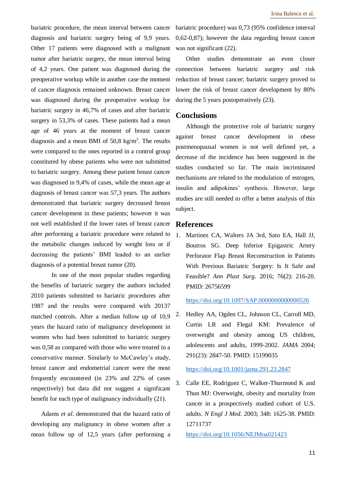bariatric procedure, the mean interval between cancer diagnosis and bariatric surgery being of 9,9 years. Other 17 patients were diagnosed with a malignant tumor after bariatric surgery, the mean interval being of 4,2 years. One patient was diagnosed during the preoperative workup while in another case the moment of cancer diagnosis remained unknown. Breast cancer was diagnosed during the preoperative workup for bariatric surgery in 46,7% of cases and after bariatric surgery in 53,3% of cases. These patients had a mean age of 46 years at the moment of breast cancer diagnosis and a mean BMI of  $50,8 \text{ kg/m}^2$ . The results were compared to the ones reported in a control group constituted by obese patients who were not submitted to bariatric surgery. Among these patient breast cancer was diagnosed in 9,4% of cases, while the mean age at diagnosis of breast cancer was 57,3 years. The authors demonstrated that bariatric surgery decreased breast cancer development in these patients; however it was not well established if the lower rates of breast cancer after performing a bariatric procedure were related to the metabolic changes induced by weight loss or if decreasing the patients' BMI leaded to an earlier diagnosis of a potential breast tumor (20).

In one of the most popular studies regarding the benefits of bariatric surgery the authors included 2010 patients submitted to bariatric procedures after 1987 and the results were compared with 20137 matched controls. After a median follow up of 10,9 years the hazard ratio of malignancy development in women who had been submitted to bariatric surgery was 0,58 as compared with those who were treated in a conservative manner. Similarly to McCawley's study, breast cancer and endometrial cancer were the most frequently encountered (in 23% and 22% of cases respectively) but data did not suggest a significant benefit for each type of malignancy individually (21).

Adams *et al.* demonstrated that the hazard ratio of developing any malignancy in obese women after a mean follow up of 12,5 years (after performing a bariatric procedure) was 0,73 (95% confidence interval 0,62-0,87); however the data regarding breast cancer was not significant  $(22)$ .

Other studies demonstrate an even closer connection between bariatric surgery and risk reduction of breast cancer; bariatric surgery proved to lower the risk of breast cancer development by 80% during the 5 years postoperatively (23).

## **Conclusions**

Although the protective role of bariatric surgery against breast cancer development in obese postmenopausal women is not well defined yet, a decrease of the incidence has been suggested in the studies conducted so far. The main incriminated mechanisms are related to the modulation of estrogen, insulin and adipokines' synthesis. However, large studies are still needed to offer a better analysis of this subject.

## **References**

1. Martinez CA, Walters JA 3rd, Sato EA, Hall JJ, Boutros SG. Deep Inferior Epigastric Artery Perforator Flap Breast Reconstruction in Patients With Previous Bariatric Surgery: Is It Safe and Feasible? *Ann Plast Surg*. 2016; 76(2): 216-20. PMID: 26756599

<https://doi.org/10.1097/SAP.0000000000000526>

2. Hedley AA, Ogden CL, Johnson CL, Carroll MD, Curtin LR and Flegal KM: Prevalence of overweight and obesity among US children, adolescents and adults, 1999-2002. *JAMA* 2004; 291(23): 2847-50. PMID: 15199035

#### <https://doi.org/10.1001/jama.291.23.2847>

3. Calle EE, Rodriguez C, Walker-Thurmond K and Thun MJ: Overweight, obesity and mortality from cancer in a prospectively studied cohort of U.S. adults. *N Engl J Med.* 2003; 348: 1625-38. PMID: 12711737

<https://doi.org/10.1056/NEJMoa021423>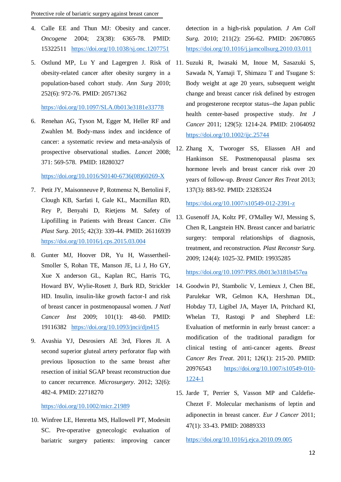- 4. Calle EE and Thun MJ: Obesity and cancer. *Oncogene* 2004; 23(38): 6365-78. PMID: 15322511 <https://doi.org/10.1038/sj.onc.1207751>
- 5. Ostlund MP, Lu Y and Lagergren J. Risk of 11. Suzuki R, Iwasaki M, Inoue M, Sasazuki S, obesity-related cancer after obesity surgery in a population-based cohort study. *Ann Surg* 2010; 252(6): 972-76. PMID: 20571362

#### <https://doi.org/10.1097/SLA.0b013e3181e33778>

6. Renehan AG, Tyson M, Egger M, Heller RF and Zwahlen M. Body-mass index and incidence of cancer: a systematic review and meta-analysis of prospective observational studies. *Lancet* 2008; 371: 569-578. PMID: 18280327

## [https://doi.org/10.1016/S0140-6736\(08\)60269-X](https://doi.org/10.1016/S0140-6736(08)60269-X)

- 7. Petit JY, Maisonneuve P, Rotmensz N, Bertolini F, Clough KB, Sarfati I, Gale KL, Macmillan RD, Rey P, Benyahi D, Rietjens M. Safety of Lipofilling in Patients with Breast Cancer. *Clin Plast Surg*. 2015; 42(3): 339-44. PMID: 26116939 <https://doi.org/10.1016/j.cps.2015.03.004>
- 8. Gunter MJ, Hoover DR, Yu H, Wassertheil-Smoller S, Rohan TE, Manson JE, Li J, Ho GY, Xue X anderson GL, Kaplan RC, Harris TG, HD. Insulin, insulin-like growth factor-I and risk of breast cancer in postmenopausal women. *J Natl Cancer Inst* 2009; 101(1): 48-60. PMID: 19116382 <https://doi.org/10.1093/jnci/djn415>
- 9. Avashia YJ, Desrosiers AE 3rd, Flores JI. A second superior gluteal artery perforator flap with previous liposuction to the same breast after resection of initial SGAP breast reconstruction due to cancer recurrence. *Microsurgery*. 2012; 32(6): 482-4. PMID: 22718270

<https://doi.org/10.1002/micr.21989>

10. Winfree LE, Henretta MS, Hallowell PT, Modesitt SC. Pre-operative gynecologic evaluation of bariatric surgery patients: improving cancer detection in a high-risk population. *J Am Coll Surg.* 2010; 211(2): 256-62. PMID: 20670865 <https://doi.org/10.1016/j.jamcollsurg.2010.03.011>

- Sawada N, Yamaji T, Shimazu T and Tsugane S: Body weight at age 20 years, subsequent weight change and breast cancer risk defined by estrogen and progesterone receptor status--the Japan public health center-based prospective study. *Int J Cancer* 2011; 129(5): 1214-24. PMID: 21064092 <https://doi.org/10.1002/ijc.25744>
- 12. Zhang X, Tworoger SS, Eliassen AH and Hankinson SE. Postmenopausal plasma sex hormone levels and breast cancer risk over 20 years of follow-up. *Breast Cancer Res Treat* 2013; 137(3): 883-92. PMID: 23283524

<https://doi.org/10.1007/s10549-012-2391-z>

13. Gusenoff JA, Koltz PF, O'Malley WJ, Messing S, Chen R, Langstein HN. Breast cancer and bariatric surgery: temporal relationships of diagnosis, treatment, and reconstruction. *Plast Reconstr Surg*. 2009; 124(4): 1025-32. PMID: 19935285

<https://doi.org/10.1097/PRS.0b013e3181b457ea>

- Howard BV, Wylie-Rosett J, Burk RD, Strickler 14. Goodwin PJ, Stambolic V, Lemieux J, Chen BE, Parulekar WR, Gelmon KA, Hershman DL, Hobday TJ, Ligibel JA, Mayer IA, Pritchard KI, Whelan TJ, Rastogi P and Shepherd LE: Evaluation of metformin in early breast cancer: a modification of the traditional paradigm for clinical testing of anti-cancer agents. *Breast Cancer Res Treat*. 2011; 126(1): 215-20. PMID: 20976543 [https://doi.org/10.1007/s10549-010-](https://doi.org/10.1007/s10549-010-1224-1) [1224-1](https://doi.org/10.1007/s10549-010-1224-1)
	- 15. Jarde T, Perrier S, Vasson MP and Caldefie-Chezet F. Molecular mechanisms of leptin and adiponectin in breast cancer. *Eur J Cancer* 2011; 47(1): 33-43. PMID: 20889333

<https://doi.org/10.1016/j.ejca.2010.09.005>